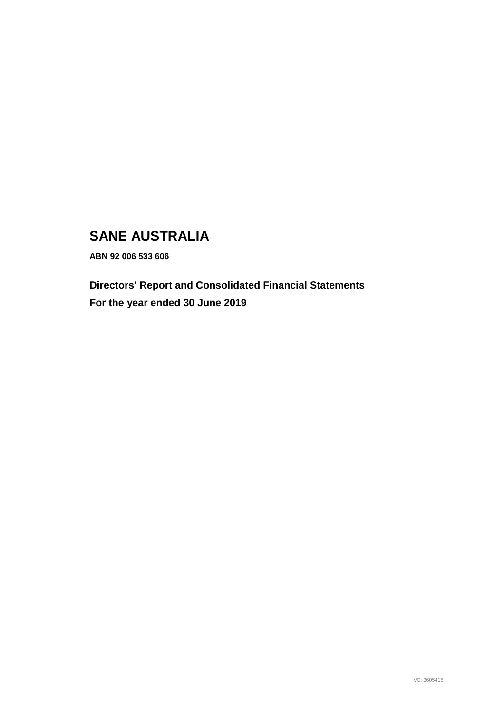# **SANE AUSTRALIA**

**ABN 92 006 533 606** 

**Directors' Report and Consolidated Financial Statements For the year ended 30 June 2019**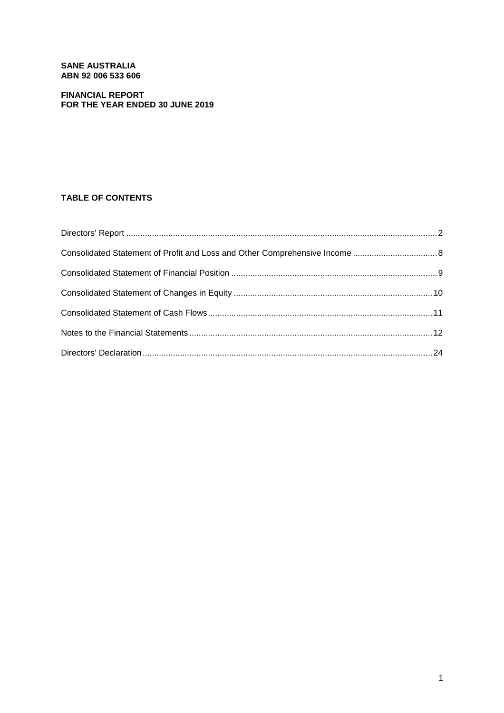# **SANE AUSTRALIA ABN 92 006 533 606**

# **FINANCIAL REPORT FOR THE YEAR ENDED 30 JUNE 2019**

# **TABLE OF CONTENTS**

| Consolidated Statement of Profit and Loss and Other Comprehensive Income  8 |  |
|-----------------------------------------------------------------------------|--|
|                                                                             |  |
|                                                                             |  |
|                                                                             |  |
|                                                                             |  |
|                                                                             |  |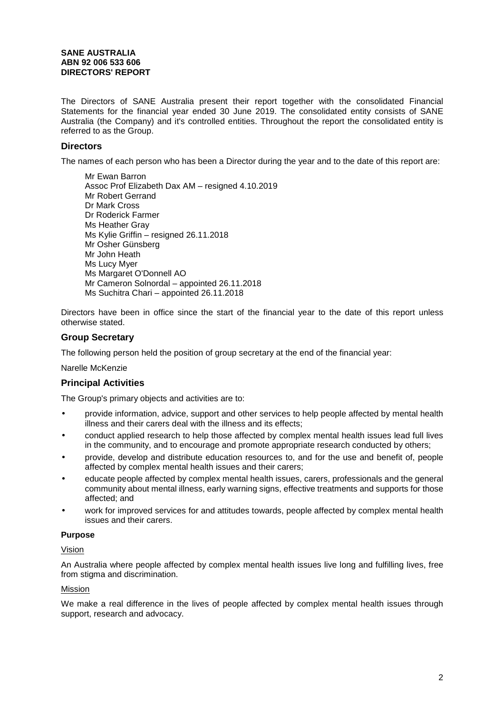# **SANE AUSTRALIA ABN 92 006 533 606 DIRECTORS' REPORT**

The Directors of SANE Australia present their report together with the consolidated Financial Statements for the financial year ended 30 June 2019. The consolidated entity consists of SANE Australia (the Company) and it's controlled entities. Throughout the report the consolidated entity is referred to as the Group.

# **Directors**

The names of each person who has been a Director during the year and to the date of this report are:

Mr Ewan Barron Assoc Prof Elizabeth Dax AM – resigned 4.10.2019 Mr Robert Gerrand Dr Mark Cross Dr Roderick Farmer Ms Heather Gray Ms Kylie Griffin – resigned 26.11.2018 Mr Osher Günsberg Mr John Heath Ms Lucy Myer Ms Margaret O'Donnell AO Mr Cameron Solnordal – appointed 26.11.2018 Ms Suchitra Chari – appointed 26.11.2018

Directors have been in office since the start of the financial year to the date of this report unless otherwise stated.

# **Group Secretary**

The following person held the position of group secretary at the end of the financial year:

### Narelle McKenzie

# **Principal Activities**

The Group's primary objects and activities are to:

- provide information, advice, support and other services to help people affected by mental health illness and their carers deal with the illness and its effects;
- conduct applied research to help those affected by complex mental health issues lead full lives in the community, and to encourage and promote appropriate research conducted by others;
- provide, develop and distribute education resources to, and for the use and benefit of, people affected by complex mental health issues and their carers;
- educate people affected by complex mental health issues, carers, professionals and the general community about mental illness, early warning signs, effective treatments and supports for those affected; and
- work for improved services for and attitudes towards, people affected by complex mental health issues and their carers.

### **Purpose**

# Vision

An Australia where people affected by complex mental health issues live long and fulfilling lives, free from stigma and discrimination.

# Mission

We make a real difference in the lives of people affected by complex mental health issues through support, research and advocacy.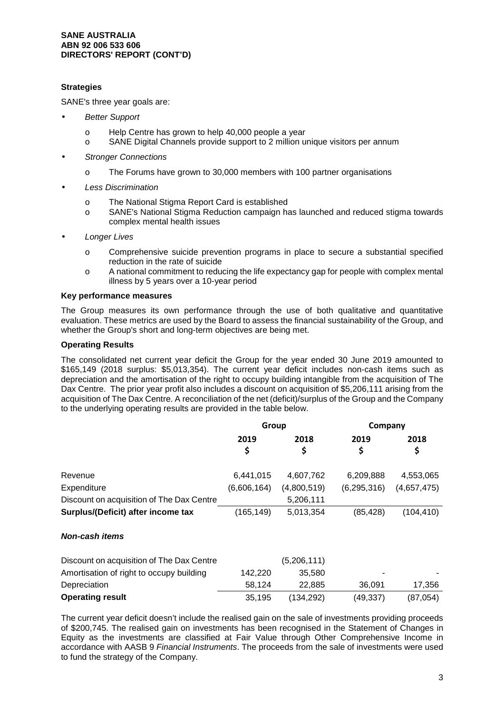# **SANE AUSTRALIA ABN 92 006 533 606 DIRECTORS' REPORT (CONT'D)**

# **Strategies**

SANE's three year goals are:

- **Better Support** 
	- o Help Centre has grown to help 40,000 people a year
	- o SANE Digital Channels provide support to 2 million unique visitors per annum
- **Stronger Connections** 
	- o The Forums have grown to 30,000 members with 100 partner organisations
- Less Discrimination
	- o The National Stigma Report Card is established
	- o SANE's National Stigma Reduction campaign has launched and reduced stigma towards complex mental health issues
- **Longer Lives** 
	- o Comprehensive suicide prevention programs in place to secure a substantial specified reduction in the rate of suicide
	- o A national commitment to reducing the life expectancy gap for people with complex mental illness by 5 years over a 10-year period

### **Key performance measures**

The Group measures its own performance through the use of both qualitative and quantitative evaluation. These metrics are used by the Board to assess the financial sustainability of the Group, and whether the Group's short and long-term objectives are being met.

# **Operating Results**

The consolidated net current year deficit the Group for the year ended 30 June 2019 amounted to \$165,149 (2018 surplus: \$5,013,354). The current year deficit includes non-cash items such as depreciation and the amortisation of the right to occupy building intangible from the acquisition of The Dax Centre. The prior year profit also includes a discount on acquisition of \$5,206,111 arising from the acquisition of The Dax Centre. A reconciliation of the net (deficit)/surplus of the Group and the Company to the underlying operating results are provided in the table below.

|                                           | Group       |             | Company       |             |
|-------------------------------------------|-------------|-------------|---------------|-------------|
|                                           | 2019        | 2018        | 2019          | 2018        |
|                                           | \$          | \$          | \$            | \$          |
| Revenue                                   | 6,441,015   | 4,607,762   | 6,209,888     | 4,553,065   |
| Expenditure                               | (6,606,164) | (4,800,519) | (6, 295, 316) | (4,657,475) |
| Discount on acquisition of The Dax Centre |             | 5,206,111   |               |             |
| Surplus/(Deficit) after income tax        | (165, 149)  | 5,013,354   | (85, 428)     | (104, 410)  |
| Non-cash items                            |             |             |               |             |
| Discount on acquisition of The Dax Centre |             | (5,206,111) |               |             |
| Amortisation of right to occupy building  | 142,220     | 35,580      |               |             |
| Depreciation                              | 58,124      | 22,885      | 36,091        | 17,356      |
| <b>Operating result</b>                   | 35,195      | (134, 292)  | (49,337)      | (87, 054)   |

The current year deficit doesn't include the realised gain on the sale of investments providing proceeds of \$200,745. The realised gain on investments has been recognised in the Statement of Changes in Equity as the investments are classified at Fair Value through Other Comprehensive Income in accordance with AASB 9 Financial Instruments. The proceeds from the sale of investments were used to fund the strategy of the Company.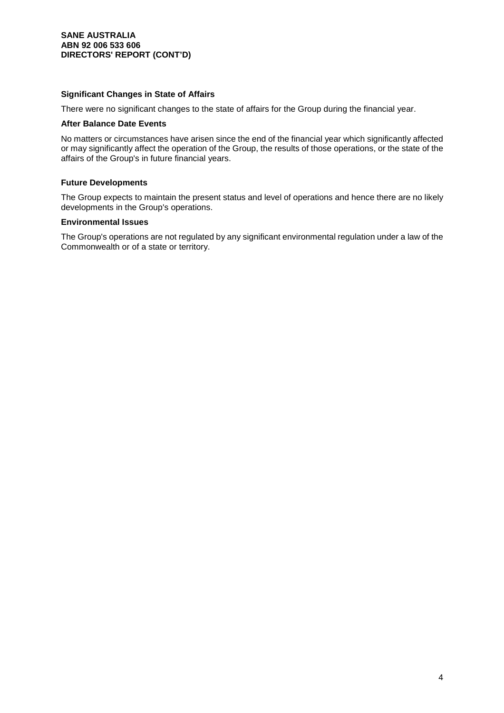# **Significant Changes in State of Affairs**

There were no significant changes to the state of affairs for the Group during the financial year.

#### **After Balance Date Events**

No matters or circumstances have arisen since the end of the financial year which significantly affected or may significantly affect the operation of the Group, the results of those operations, or the state of the affairs of the Group's in future financial years.

# **Future Developments**

The Group expects to maintain the present status and level of operations and hence there are no likely developments in the Group's operations.

# **Environmental Issues**

The Group's operations are not regulated by any significant environmental regulation under a law of the Commonwealth or of a state or territory.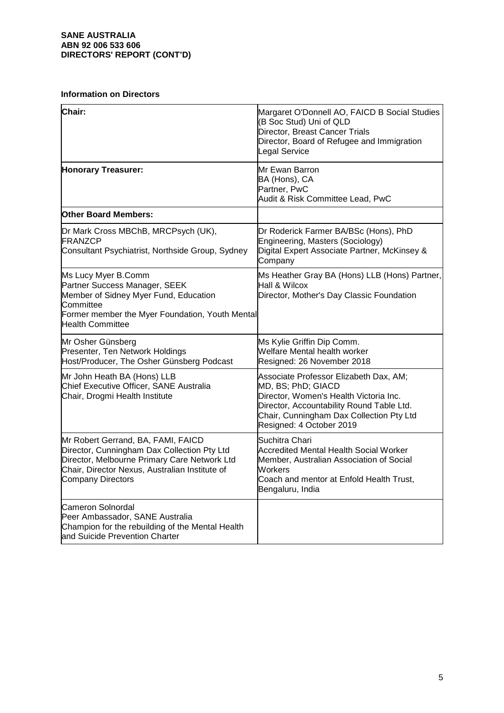# **SANE AUSTRALIA ABN 92 006 533 606 DIRECTORS' REPORT (CONT'D)**

# **Information on Directors**

| Chair:                                                                                                                                                                                                          | Margaret O'Donnell AO, FAICD B Social Studies<br>(B Soc Stud) Uni of QLD<br>Director, Breast Cancer Trials<br>Director, Board of Refugee and Immigration<br>Legal Service                                                   |
|-----------------------------------------------------------------------------------------------------------------------------------------------------------------------------------------------------------------|-----------------------------------------------------------------------------------------------------------------------------------------------------------------------------------------------------------------------------|
| <b>Honorary Treasurer:</b>                                                                                                                                                                                      | Mr Ewan Barron<br>BA (Hons), CA<br>Partner, PwC<br>Audit & Risk Committee Lead, PwC                                                                                                                                         |
| <b>Other Board Members:</b>                                                                                                                                                                                     |                                                                                                                                                                                                                             |
| Dr Mark Cross MBChB, MRCPsych (UK),<br><b>FRANZCP</b><br>Consultant Psychiatrist, Northside Group, Sydney                                                                                                       | Dr Roderick Farmer BA/BSc (Hons), PhD<br>Engineering, Masters (Sociology)<br>Digital Expert Associate Partner, McKinsey &<br>Company                                                                                        |
| Ms Lucy Myer B.Comm<br>Partner Success Manager, SEEK<br>Member of Sidney Myer Fund, Education<br>Committee<br>Former member the Myer Foundation, Youth Mental<br><b>Health Committee</b>                        | Ms Heather Gray BA (Hons) LLB (Hons) Partner,<br>Hall & Wilcox<br>Director, Mother's Day Classic Foundation                                                                                                                 |
| Mr Osher Günsberg<br>Presenter, Ten Network Holdings<br>Host/Producer, The Osher Günsberg Podcast                                                                                                               | Ms Kylie Griffin Dip Comm.<br>Welfare Mental health worker<br>Resigned: 26 November 2018                                                                                                                                    |
| Mr John Heath BA (Hons) LLB<br>Chief Executive Officer, SANE Australia<br>Chair, Drogmi Health Institute                                                                                                        | Associate Professor Elizabeth Dax, AM;<br>MD, BS; PhD; GIACD<br>Director, Women's Health Victoria Inc.<br>Director, Accountability Round Table Ltd.<br>Chair, Cunningham Dax Collection Pty Ltd<br>Resigned: 4 October 2019 |
| Mr Robert Gerrand, BA, FAMI, FAICD<br>Director, Cunningham Dax Collection Pty Ltd<br>Director, Melbourne Primary Care Network Ltd<br>Chair, Director Nexus, Australian Institute of<br><b>Company Directors</b> | Suchitra Chari<br><b>Accredited Mental Health Social Worker</b><br>Member, Australian Association of Social<br>Workers<br>Coach and mentor at Enfold Health Trust,<br>Bengaluru, India                                      |
| <b>Cameron Solnordal</b><br>Peer Ambassador, SANE Australia<br>Champion for the rebuilding of the Mental Health<br>and Suicide Prevention Charter                                                               |                                                                                                                                                                                                                             |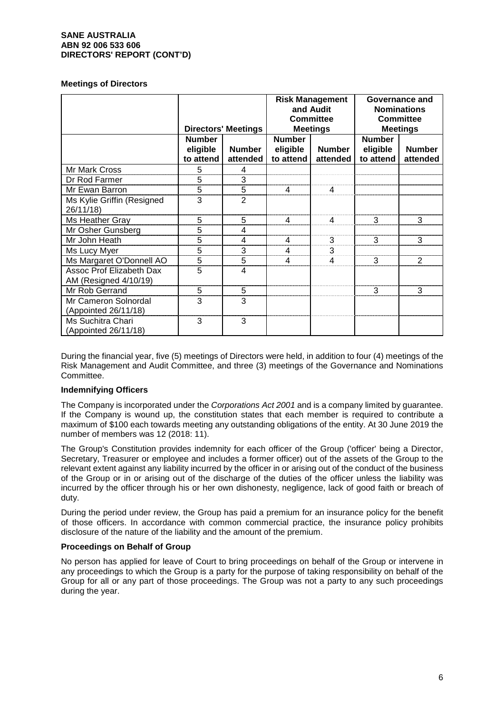# **SANE AUSTRALIA ABN 92 006 533 606 DIRECTORS' REPORT (CONT'D)**

### **Meetings of Directors**

|                                                          | <b>Directors' Meetings</b>             |                           | <b>Risk Management</b><br>and Audit<br><b>Committee</b><br><b>Meetings</b> |                           | Governance and<br><b>Nominations</b><br><b>Committee</b><br><b>Meetings</b> |                           |
|----------------------------------------------------------|----------------------------------------|---------------------------|----------------------------------------------------------------------------|---------------------------|-----------------------------------------------------------------------------|---------------------------|
|                                                          | <b>Number</b><br>eligible<br>to attend | <b>Number</b><br>attended | <b>Number</b><br>eligible<br>to attend                                     | <b>Number</b><br>attended | <b>Number</b><br>eligible<br>to attend                                      | <b>Number</b><br>attended |
| Mr Mark Cross                                            | 5                                      | 4                         |                                                                            |                           |                                                                             |                           |
| Dr Rod Farmer                                            | 5                                      | 3                         |                                                                            |                           |                                                                             |                           |
| Mr Ewan Barron                                           | 5                                      | 5                         |                                                                            |                           |                                                                             |                           |
| Ms Kylie Griffin (Resigned<br>26/11/18)                  | 3                                      | $\overline{2}$            |                                                                            |                           |                                                                             |                           |
| Ms Heather Gray                                          | 5                                      | 5                         |                                                                            |                           | 3                                                                           | 3                         |
| Mr Osher Gunsberg                                        | 5                                      | 4                         |                                                                            |                           |                                                                             |                           |
| Mr John Heath                                            | 5                                      | 4                         |                                                                            | 3                         | 3                                                                           | 3                         |
| Ms Lucy Myer                                             | 5                                      | 3                         | 4                                                                          | 3                         |                                                                             |                           |
| Ms Margaret O'Donnell AO                                 | $\overline{5}$                         | 5                         |                                                                            |                           | 3                                                                           | $\overline{2}$            |
| <b>Assoc Prof Elizabeth Dax</b><br>AM (Resigned 4/10/19) | 5                                      | 4                         |                                                                            |                           |                                                                             |                           |
| Mr Rob Gerrand                                           | 5                                      | 5                         |                                                                            |                           | з                                                                           | 3                         |
| Mr Cameron Solnordal<br>(Appointed 26/11/18)             | 3                                      | 3                         |                                                                            |                           |                                                                             |                           |
| Ms Suchitra Chari<br>(Appointed 26/11/18)                | 3                                      | 3                         |                                                                            |                           |                                                                             |                           |

During the financial year, five (5) meetings of Directors were held, in addition to four (4) meetings of the Risk Management and Audit Committee, and three (3) meetings of the Governance and Nominations Committee.

# **Indemnifying Officers**

The Company is incorporated under the Corporations Act 2001 and is a company limited by quarantee. If the Company is wound up, the constitution states that each member is required to contribute a maximum of \$100 each towards meeting any outstanding obligations of the entity. At 30 June 2019 the number of members was 12 (2018: 11).

The Group's Constitution provides indemnity for each officer of the Group ('officer' being a Director, Secretary, Treasurer or employee and includes a former officer) out of the assets of the Group to the relevant extent against any liability incurred by the officer in or arising out of the conduct of the business of the Group or in or arising out of the discharge of the duties of the officer unless the liability was incurred by the officer through his or her own dishonesty, negligence, lack of good faith or breach of duty.

During the period under review, the Group has paid a premium for an insurance policy for the benefit of those officers. In accordance with common commercial practice, the insurance policy prohibits disclosure of the nature of the liability and the amount of the premium.

### **Proceedings on Behalf of Group**

No person has applied for leave of Court to bring proceedings on behalf of the Group or intervene in any proceedings to which the Group is a party for the purpose of taking responsibility on behalf of the Group for all or any part of those proceedings. The Group was not a party to any such proceedings during the year.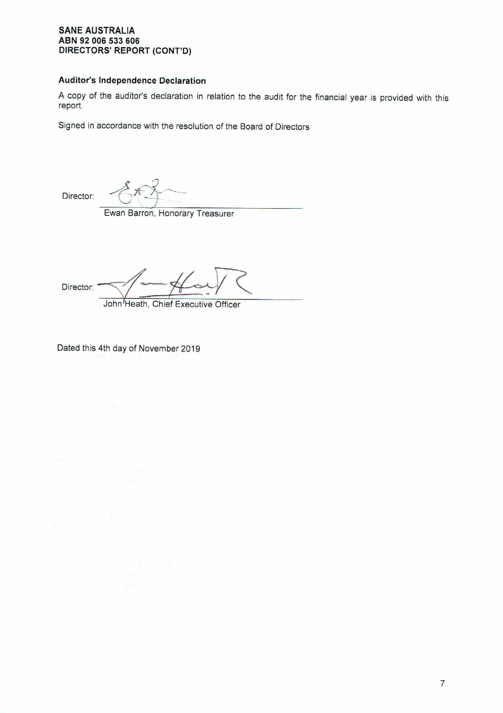# **SANE AUSTRALIA** ABN 92 006 533 606 DIRECTORS' REPORT (CONT'D)

# Auditor's Independence Declaration

A copy of the auditor's declaration in relation to the audit for the financial year is provided with this report.

Signed in accordance with the resolution of the Board of Directors

Director:

Ewan Barron, Honorary Treasurer

Director: John Heath, Chief Executive Officer

Dated this 4th day of November 2019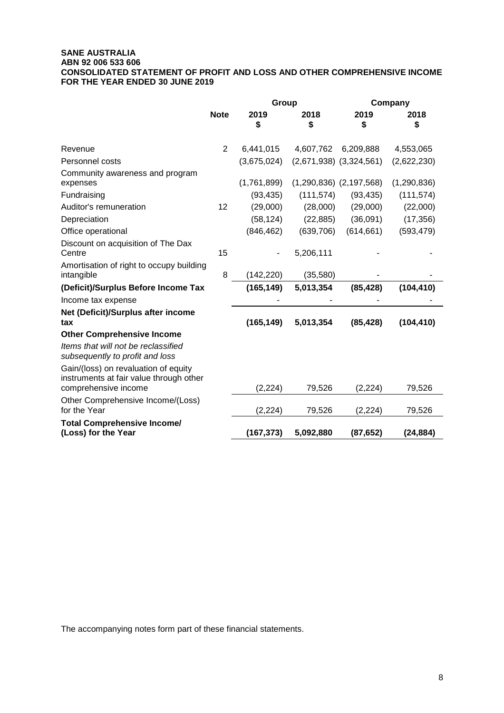# **SANE AUSTRALIA ABN 92 006 533 606 CONSOLIDATED STATEMENT OF PROFIT AND LOSS AND OTHER COMPREHENSIVE INCOME FOR THE YEAR ENDED 30 JUNE 2019**

|                                                                                                         |                | Group       |            |                             | Company     |
|---------------------------------------------------------------------------------------------------------|----------------|-------------|------------|-----------------------------|-------------|
|                                                                                                         | <b>Note</b>    | 2019<br>\$  | 2018<br>\$ | 2019<br>\$                  | 2018<br>\$  |
| Revenue                                                                                                 | $\overline{2}$ | 6,441,015   | 4,607,762  | 6,209,888                   | 4,553,065   |
| Personnel costs                                                                                         |                | (3,675,024) |            | $(2,671,938)$ $(3,324,561)$ | (2,622,230) |
| Community awareness and program<br>expenses                                                             |                | (1,761,899) |            | $(1,290,836)$ $(2,197,568)$ | (1,290,836) |
| Fundraising                                                                                             |                | (93, 435)   | (111, 574) | (93, 435)                   | (111, 574)  |
| Auditor's remuneration                                                                                  | 12             | (29,000)    | (28,000)   | (29,000)                    | (22,000)    |
| Depreciation                                                                                            |                | (58, 124)   | (22, 885)  | (36,091)                    | (17, 356)   |
| Office operational                                                                                      |                | (846, 462)  | (639, 706) | (614, 661)                  | (593, 479)  |
| Discount on acquisition of The Dax<br>Centre                                                            | 15             |             | 5,206,111  |                             |             |
| Amortisation of right to occupy building<br>intangible                                                  | 8              | (142, 220)  | (35,580)   |                             |             |
| (Deficit)/Surplus Before Income Tax                                                                     |                | (165, 149)  | 5,013,354  | (85, 428)                   | (104, 410)  |
| Income tax expense                                                                                      |                |             |            |                             |             |
| Net (Deficit)/Surplus after income<br>tax                                                               |                | (165, 149)  | 5,013,354  | (85, 428)                   | (104, 410)  |
| <b>Other Comprehensive Income</b>                                                                       |                |             |            |                             |             |
| Items that will not be reclassified<br>subsequently to profit and loss                                  |                |             |            |                             |             |
| Gain/(loss) on revaluation of equity<br>instruments at fair value through other<br>comprehensive income |                | (2, 224)    | 79,526     | (2, 224)                    | 79,526      |
| Other Comprehensive Income/(Loss)<br>for the Year                                                       |                | (2, 224)    | 79,526     | (2, 224)                    | 79,526      |
| <b>Total Comprehensive Income/</b><br>(Loss) for the Year                                               |                | (167, 373)  | 5,092,880  | (87, 652)                   | (24, 884)   |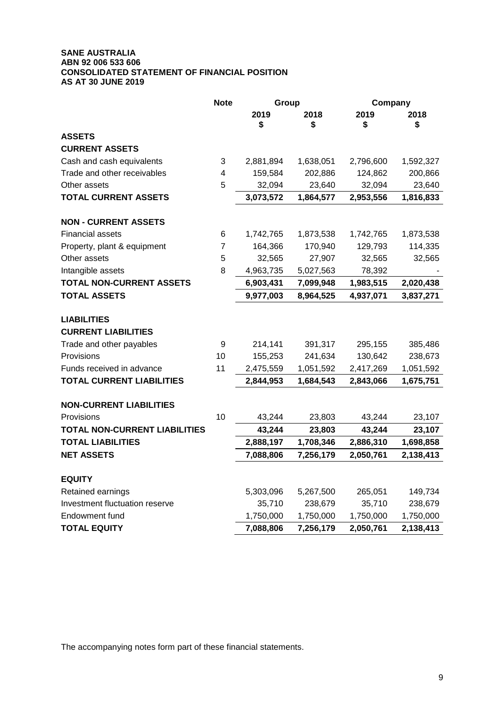# **SANE AUSTRALIA ABN 92 006 533 606 CONSOLIDATED STATEMENT OF FINANCIAL POSITION AS AT 30 JUNE 2019**

|                                      | <b>Note</b>    |            | Group<br>Company |            |            |
|--------------------------------------|----------------|------------|------------------|------------|------------|
|                                      |                | 2019<br>\$ | 2018<br>\$       | 2019<br>\$ | 2018<br>\$ |
| <b>ASSETS</b>                        |                |            |                  |            |            |
| <b>CURRENT ASSETS</b>                |                |            |                  |            |            |
| Cash and cash equivalents            | 3              | 2,881,894  | 1,638,051        | 2,796,600  | 1,592,327  |
| Trade and other receivables          | 4              | 159,584    | 202,886          | 124,862    | 200,866    |
| Other assets                         | 5              | 32,094     | 23,640           | 32,094     | 23,640     |
| <b>TOTAL CURRENT ASSETS</b>          |                | 3,073,572  | 1,864,577        | 2,953,556  | 1,816,833  |
| <b>NON - CURRENT ASSETS</b>          |                |            |                  |            |            |
| <b>Financial assets</b>              | 6              | 1,742,765  | 1,873,538        | 1,742,765  | 1,873,538  |
| Property, plant & equipment          | $\overline{7}$ | 164,366    | 170,940          | 129,793    | 114,335    |
| Other assets                         | 5              | 32,565     | 27,907           | 32,565     | 32,565     |
| Intangible assets                    | 8              | 4,963,735  | 5,027,563        | 78,392     |            |
| <b>TOTAL NON-CURRENT ASSETS</b>      |                | 6,903,431  | 7,099,948        | 1,983,515  | 2,020,438  |
| <b>TOTAL ASSETS</b>                  |                | 9,977,003  | 8,964,525        | 4,937,071  | 3,837,271  |
| <b>LIABILITIES</b>                   |                |            |                  |            |            |
| <b>CURRENT LIABILITIES</b>           |                |            |                  |            |            |
| Trade and other payables             | 9              | 214,141    | 391,317          | 295,155    | 385,486    |
| Provisions                           | 10             | 155,253    | 241,634          | 130,642    | 238,673    |
| Funds received in advance            | 11             | 2,475,559  | 1,051,592        | 2,417,269  | 1,051,592  |
| <b>TOTAL CURRENT LIABILITIES</b>     |                | 2,844,953  | 1,684,543        | 2,843,066  | 1,675,751  |
| <b>NON-CURRENT LIABILITIES</b>       |                |            |                  |            |            |
| Provisions                           | 10             | 43,244     | 23,803           | 43,244     | 23,107     |
| <b>TOTAL NON-CURRENT LIABILITIES</b> |                | 43,244     | 23,803           | 43,244     | 23,107     |
| <b>TOTAL LIABILITIES</b>             |                | 2,888,197  | 1,708,346        | 2,886,310  | 1,698,858  |
| <b>NET ASSETS</b>                    |                | 7,088,806  | 7,256,179        | 2,050,761  | 2,138,413  |
| <b>EQUITY</b>                        |                |            |                  |            |            |
| Retained earnings                    |                | 5,303,096  | 5,267,500        | 265,051    | 149,734    |
| Investment fluctuation reserve       |                | 35,710     | 238,679          | 35,710     | 238,679    |
| Endowment fund                       |                | 1,750,000  | 1,750,000        | 1,750,000  | 1,750,000  |
| <b>TOTAL EQUITY</b>                  |                | 7,088,806  | 7,256,179        | 2,050,761  | 2,138,413  |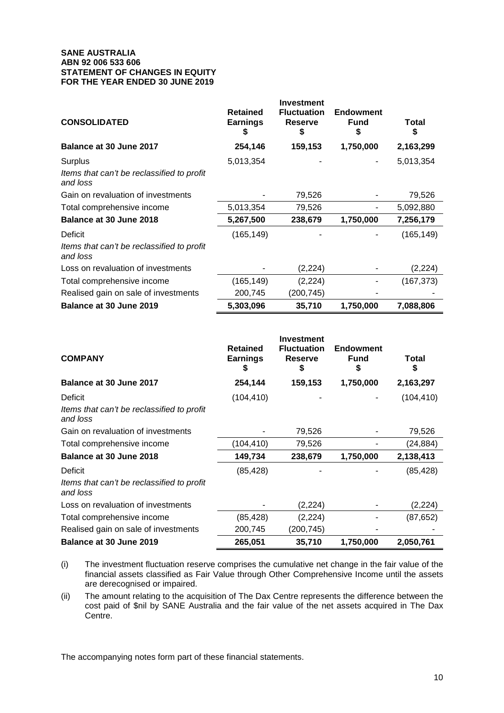# **SANE AUSTRALIA ABN 92 006 533 606 STATEMENT OF CHANGES IN EQUITY FOR THE YEAR ENDED 30 JUNE 2019**

| <b>CONSOLIDATED</b>                                    | <b>Retained</b><br><b>Earnings</b><br>æ. | <b>Investment</b><br><b>Fluctuation</b><br><b>Reserve</b><br>S | <b>Endowment</b><br><b>Fund</b><br>S | Total<br>S |
|--------------------------------------------------------|------------------------------------------|----------------------------------------------------------------|--------------------------------------|------------|
| Balance at 30 June 2017                                | 254,146                                  | 159,153                                                        | 1,750,000                            | 2,163,299  |
| Surplus                                                | 5,013,354                                |                                                                |                                      | 5,013,354  |
| Items that can't be reclassified to profit<br>and loss |                                          |                                                                |                                      |            |
| Gain on revaluation of investments                     |                                          | 79,526                                                         |                                      | 79,526     |
| Total comprehensive income                             | 5,013,354                                | 79,526                                                         |                                      | 5,092,880  |
| Balance at 30 June 2018                                | 5,267,500                                | 238,679                                                        | 1,750,000                            | 7,256,179  |
| Deficit                                                | (165, 149)                               |                                                                |                                      | (165, 149) |
| Items that can't be reclassified to profit<br>and loss |                                          |                                                                |                                      |            |
| Loss on revaluation of investments                     |                                          | (2,224)                                                        |                                      | (2,224)    |
| Total comprehensive income                             | (165,149)                                | (2,224)                                                        |                                      | (167, 373) |
| Realised gain on sale of investments                   | 200,745                                  | (200,745)                                                      |                                      |            |
| Balance at 30 June 2019                                | 5,303,096                                | 35,710                                                         | 1,750,000                            | 7,088,806  |

| <b>COMPANY</b>                                         | <b>Retained</b><br><b>Earnings</b> | <b>Investment</b><br><b>Fluctuation</b><br><b>Reserve</b><br>5 | <b>Endowment</b><br><b>Fund</b> | Total      |
|--------------------------------------------------------|------------------------------------|----------------------------------------------------------------|---------------------------------|------------|
| Balance at 30 June 2017                                | 254,144                            | 159,153                                                        | 1,750,000                       | 2,163,297  |
| Deficit                                                | (104, 410)                         |                                                                |                                 | (104, 410) |
| Items that can't be reclassified to profit<br>and loss |                                    |                                                                |                                 |            |
| Gain on revaluation of investments                     |                                    | 79,526                                                         |                                 | 79,526     |
| Total comprehensive income                             | (104, 410)                         | 79,526                                                         |                                 | (24,884)   |
| Balance at 30 June 2018                                | 149,734                            | 238,679                                                        | 1,750,000                       | 2,138,413  |
| Deficit                                                | (85, 428)                          |                                                                |                                 | (85, 428)  |
| Items that can't be reclassified to profit<br>and loss |                                    |                                                                |                                 |            |
| Loss on revaluation of investments                     |                                    | (2,224)                                                        |                                 | (2,224)    |
| Total comprehensive income                             | (85,428)                           | (2,224)                                                        |                                 | (87, 652)  |
| Realised gain on sale of investments                   | 200,745                            | (200,745)                                                      |                                 |            |
| <b>Balance at 30 June 2019</b>                         | 265,051                            | 35,710                                                         | 1,750,000                       | 2,050,761  |

(i) The investment fluctuation reserve comprises the cumulative net change in the fair value of the financial assets classified as Fair Value through Other Comprehensive Income until the assets are derecognised or impaired.

(ii) The amount relating to the acquisition of The Dax Centre represents the difference between the cost paid of \$nil by SANE Australia and the fair value of the net assets acquired in The Dax Centre.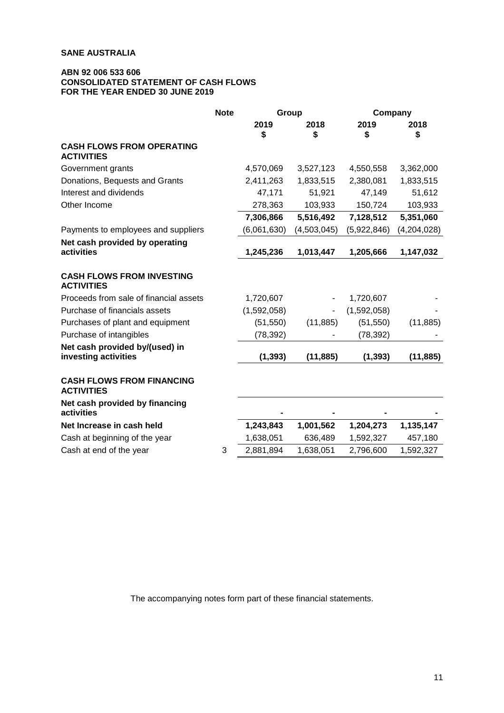# **ABN 92 006 533 606 CONSOLIDATED STATEMENT OF CASH FLOWS FOR THE YEAR ENDED 30 JUNE 2019**

|                                                        | <b>Note</b> | Group       |             |             | Company     |  |
|--------------------------------------------------------|-------------|-------------|-------------|-------------|-------------|--|
|                                                        |             | 2019<br>\$  | 2018<br>S   | 2019<br>\$  | 2018<br>\$  |  |
| <b>CASH FLOWS FROM OPERATING</b><br><b>ACTIVITIES</b>  |             |             |             |             |             |  |
| Government grants                                      |             | 4,570,069   | 3,527,123   | 4,550,558   | 3,362,000   |  |
| Donations, Bequests and Grants                         |             | 2,411,263   | 1,833,515   | 2,380,081   | 1,833,515   |  |
| Interest and dividends                                 |             | 47,171      | 51,921      | 47,149      | 51,612      |  |
| Other Income                                           |             | 278,363     | 103,933     | 150,724     | 103,933     |  |
|                                                        |             | 7,306,866   | 5,516,492   | 7,128,512   | 5,351,060   |  |
| Payments to employees and suppliers                    |             | (6,061,630) | (4,503,045) | (5,922,846) | (4,204,028) |  |
| Net cash provided by operating<br>activities           |             | 1,245,236   | 1,013,447   | 1,205,666   | 1,147,032   |  |
| <b>CASH FLOWS FROM INVESTING</b><br><b>ACTIVITIES</b>  |             |             |             |             |             |  |
| Proceeds from sale of financial assets                 |             | 1,720,607   | ۰           | 1,720,607   |             |  |
| Purchase of financials assets                          |             | (1,592,058) |             | (1,592,058) |             |  |
| Purchases of plant and equipment                       |             | (51, 550)   | (11, 885)   | (51, 550)   | (11, 885)   |  |
| Purchase of intangibles                                |             | (78, 392)   |             | (78, 392)   |             |  |
| Net cash provided by/(used) in<br>investing activities |             | (1, 393)    | (11, 885)   | (1, 393)    | (11, 885)   |  |
| <b>CASH FLOWS FROM FINANCING</b><br><b>ACTIVITIES</b>  |             |             |             |             |             |  |
| Net cash provided by financing<br>activities           |             |             |             |             |             |  |
| Net Increase in cash held                              |             | 1,243,843   | 1,001,562   | 1,204,273   | 1,135,147   |  |
| Cash at beginning of the year                          |             | 1,638,051   | 636,489     | 1,592,327   | 457,180     |  |
| Cash at end of the year                                | 3           | 2,881,894   | 1,638,051   | 2,796,600   | 1,592,327   |  |
|                                                        |             |             |             |             |             |  |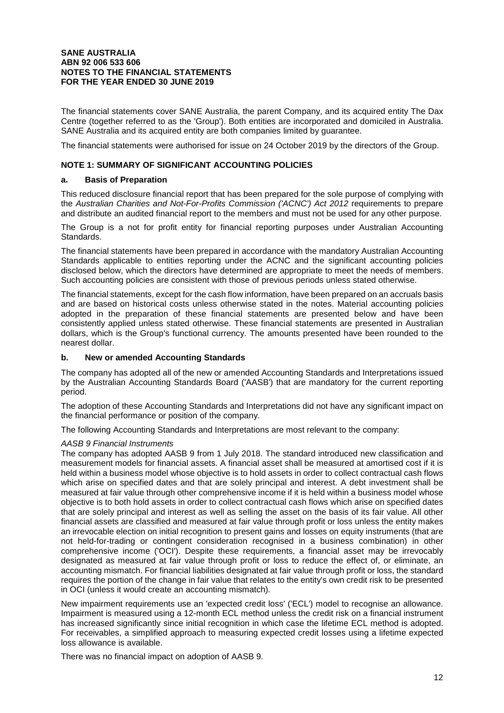The financial statements cover SANE Australia, the parent Company, and its acquired entity The Dax Centre (together referred to as the 'Group'). Both entities are incorporated and domiciled in Australia. SANE Australia and its acquired entity are both companies limited by guarantee.

The financial statements were authorised for issue on 24 October 2019 by the directors of the Group.

# **NOTE 1: SUMMARY OF SIGNIFICANT ACCOUNTING POLICIES**

### **a. Basis of Preparation**

This reduced disclosure financial report that has been prepared for the sole purpose of complying with the Australian Charities and Not-For-Profits Commission ('ACNC') Act 2012 requirements to prepare and distribute an audited financial report to the members and must not be used for any other purpose.

The Group is a not for profit entity for financial reporting purposes under Australian Accounting Standards.

The financial statements have been prepared in accordance with the mandatory Australian Accounting Standards applicable to entities reporting under the ACNC and the significant accounting policies disclosed below, which the directors have determined are appropriate to meet the needs of members. Such accounting policies are consistent with those of previous periods unless stated otherwise.

The financial statements, except for the cash flow information, have been prepared on an accruals basis and are based on historical costs unless otherwise stated in the notes. Material accounting policies adopted in the preparation of these financial statements are presented below and have been consistently applied unless stated otherwise. These financial statements are presented in Australian dollars, which is the Group's functional currency. The amounts presented have been rounded to the nearest dollar.

# **b. New or amended Accounting Standards**

The company has adopted all of the new or amended Accounting Standards and Interpretations issued by the Australian Accounting Standards Board ('AASB') that are mandatory for the current reporting period.

The adoption of these Accounting Standards and Interpretations did not have any significant impact on the financial performance or position of the company.

The following Accounting Standards and Interpretations are most relevant to the company:

### AASB 9 Financial Instruments

The company has adopted AASB 9 from 1 July 2018. The standard introduced new classification and measurement models for financial assets. A financial asset shall be measured at amortised cost if it is held within a business model whose objective is to hold assets in order to collect contractual cash flows which arise on specified dates and that are solely principal and interest. A debt investment shall be measured at fair value through other comprehensive income if it is held within a business model whose objective is to both hold assets in order to collect contractual cash flows which arise on specified dates that are solely principal and interest as well as selling the asset on the basis of its fair value. All other financial assets are classified and measured at fair value through profit or loss unless the entity makes an irrevocable election on initial recognition to present gains and losses on equity instruments (that are not held-for-trading or contingent consideration recognised in a business combination) in other comprehensive income ('OCI'). Despite these requirements, a financial asset may be irrevocably designated as measured at fair value through profit or loss to reduce the effect of, or eliminate, an accounting mismatch. For financial liabilities designated at fair value through profit or loss, the standard requires the portion of the change in fair value that relates to the entity's own credit risk to be presented in OCI (unless it would create an accounting mismatch).

New impairment requirements use an 'expected credit loss' ('ECL') model to recognise an allowance. Impairment is measured using a 12-month ECL method unless the credit risk on a financial instrument has increased significantly since initial recognition in which case the lifetime ECL method is adopted. For receivables, a simplified approach to measuring expected credit losses using a lifetime expected loss allowance is available.

There was no financial impact on adoption of AASB 9.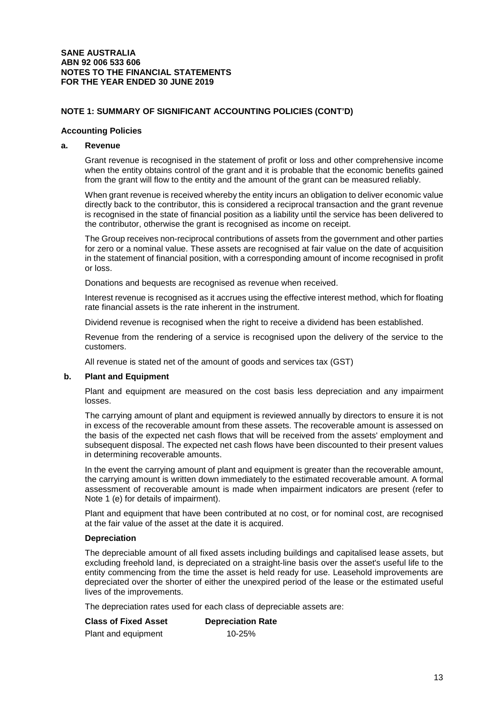# **NOTE 1: SUMMARY OF SIGNIFICANT ACCOUNTING POLICIES (CONT'D)**

#### **Accounting Policies**

# **a. Revenue**

Grant revenue is recognised in the statement of profit or loss and other comprehensive income when the entity obtains control of the grant and it is probable that the economic benefits gained from the grant will flow to the entity and the amount of the grant can be measured reliably.

When grant revenue is received whereby the entity incurs an obligation to deliver economic value directly back to the contributor, this is considered a reciprocal transaction and the grant revenue is recognised in the state of financial position as a liability until the service has been delivered to the contributor, otherwise the grant is recognised as income on receipt.

The Group receives non-reciprocal contributions of assets from the government and other parties for zero or a nominal value. These assets are recognised at fair value on the date of acquisition in the statement of financial position, with a corresponding amount of income recognised in profit or loss.

Donations and bequests are recognised as revenue when received.

Interest revenue is recognised as it accrues using the effective interest method, which for floating rate financial assets is the rate inherent in the instrument.

Dividend revenue is recognised when the right to receive a dividend has been established.

Revenue from the rendering of a service is recognised upon the delivery of the service to the customers.

All revenue is stated net of the amount of goods and services tax (GST)

### **b. Plant and Equipment**

Plant and equipment are measured on the cost basis less depreciation and any impairment losses.

The carrying amount of plant and equipment is reviewed annually by directors to ensure it is not in excess of the recoverable amount from these assets. The recoverable amount is assessed on the basis of the expected net cash flows that will be received from the assets' employment and subsequent disposal. The expected net cash flows have been discounted to their present values in determining recoverable amounts.

In the event the carrying amount of plant and equipment is greater than the recoverable amount, the carrying amount is written down immediately to the estimated recoverable amount. A formal assessment of recoverable amount is made when impairment indicators are present (refer to Note 1 (e) for details of impairment).

Plant and equipment that have been contributed at no cost, or for nominal cost, are recognised at the fair value of the asset at the date it is acquired.

### **Depreciation**

The depreciable amount of all fixed assets including buildings and capitalised lease assets, but excluding freehold land, is depreciated on a straight-line basis over the asset's useful life to the entity commencing from the time the asset is held ready for use. Leasehold improvements are depreciated over the shorter of either the unexpired period of the lease or the estimated useful lives of the improvements.

The depreciation rates used for each class of depreciable assets are:

| <b>Class of Fixed Asset</b> | <b>Depreciation Rate</b> |
|-----------------------------|--------------------------|
| Plant and equipment         | 10-25%                   |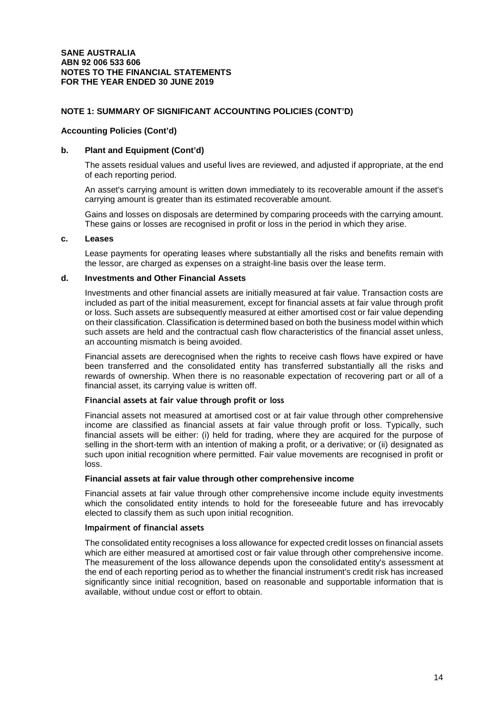### **Accounting Policies (Cont'd)**

# **b. Plant and Equipment (Cont'd)**

The assets residual values and useful lives are reviewed, and adjusted if appropriate, at the end of each reporting period.

An asset's carrying amount is written down immediately to its recoverable amount if the asset's carrying amount is greater than its estimated recoverable amount.

Gains and losses on disposals are determined by comparing proceeds with the carrying amount. These gains or losses are recognised in profit or loss in the period in which they arise.

#### **c. Leases**

Lease payments for operating leases where substantially all the risks and benefits remain with the lessor, are charged as expenses on a straight-line basis over the lease term.

#### **d. Investments and Other Financial Assets**

Investments and other financial assets are initially measured at fair value. Transaction costs are included as part of the initial measurement, except for financial assets at fair value through profit or loss. Such assets are subsequently measured at either amortised cost or fair value depending on their classification. Classification is determined based on both the business model within which such assets are held and the contractual cash flow characteristics of the financial asset unless, an accounting mismatch is being avoided.

Financial assets are derecognised when the rights to receive cash flows have expired or have been transferred and the consolidated entity has transferred substantially all the risks and rewards of ownership. When there is no reasonable expectation of recovering part or all of a financial asset, its carrying value is written off.

#### **Financial assets at fair value through profit or loss**

Financial assets not measured at amortised cost or at fair value through other comprehensive income are classified as financial assets at fair value through profit or loss. Typically, such financial assets will be either: (i) held for trading, where they are acquired for the purpose of selling in the short-term with an intention of making a profit, or a derivative; or (ii) designated as such upon initial recognition where permitted. Fair value movements are recognised in profit or loss.

#### **Financial assets at fair value through other comprehensive income**

Financial assets at fair value through other comprehensive income include equity investments which the consolidated entity intends to hold for the foreseeable future and has irrevocably elected to classify them as such upon initial recognition.

#### **Impairment of financial assets**

The consolidated entity recognises a loss allowance for expected credit losses on financial assets which are either measured at amortised cost or fair value through other comprehensive income. The measurement of the loss allowance depends upon the consolidated entity's assessment at the end of each reporting period as to whether the financial instrument's credit risk has increased significantly since initial recognition, based on reasonable and supportable information that is available, without undue cost or effort to obtain.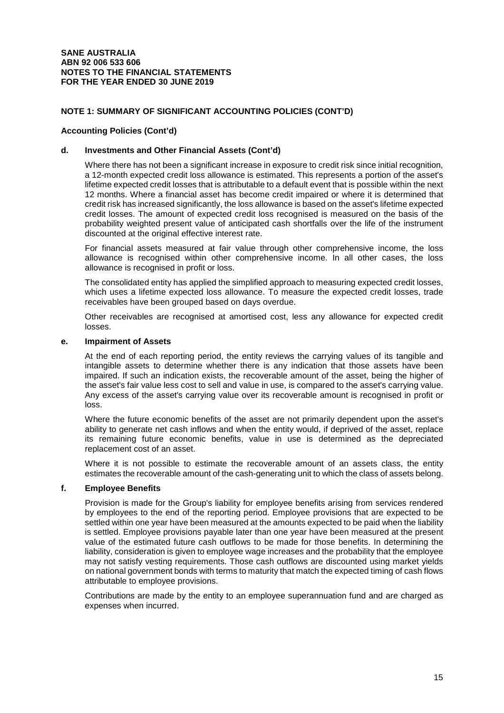### **Accounting Policies (Cont'd)**

#### **d. Investments and Other Financial Assets (Cont'd)**

Where there has not been a significant increase in exposure to credit risk since initial recognition, a 12-month expected credit loss allowance is estimated. This represents a portion of the asset's lifetime expected credit losses that is attributable to a default event that is possible within the next 12 months. Where a financial asset has become credit impaired or where it is determined that credit risk has increased significantly, the loss allowance is based on the asset's lifetime expected credit losses. The amount of expected credit loss recognised is measured on the basis of the probability weighted present value of anticipated cash shortfalls over the life of the instrument discounted at the original effective interest rate.

For financial assets measured at fair value through other comprehensive income, the loss allowance is recognised within other comprehensive income. In all other cases, the loss allowance is recognised in profit or loss.

The consolidated entity has applied the simplified approach to measuring expected credit losses, which uses a lifetime expected loss allowance. To measure the expected credit losses, trade receivables have been grouped based on days overdue.

Other receivables are recognised at amortised cost, less any allowance for expected credit losses.

#### **e. Impairment of Assets**

At the end of each reporting period, the entity reviews the carrying values of its tangible and intangible assets to determine whether there is any indication that those assets have been impaired. If such an indication exists, the recoverable amount of the asset, being the higher of the asset's fair value less cost to sell and value in use, is compared to the asset's carrying value. Any excess of the asset's carrying value over its recoverable amount is recognised in profit or loss.

Where the future economic benefits of the asset are not primarily dependent upon the asset's ability to generate net cash inflows and when the entity would, if deprived of the asset, replace its remaining future economic benefits, value in use is determined as the depreciated replacement cost of an asset.

Where it is not possible to estimate the recoverable amount of an assets class, the entity estimates the recoverable amount of the cash-generating unit to which the class of assets belong.

# **f. Employee Benefits**

Provision is made for the Group's liability for employee benefits arising from services rendered by employees to the end of the reporting period. Employee provisions that are expected to be settled within one year have been measured at the amounts expected to be paid when the liability is settled. Employee provisions payable later than one year have been measured at the present value of the estimated future cash outflows to be made for those benefits. In determining the liability, consideration is given to employee wage increases and the probability that the employee may not satisfy vesting requirements. Those cash outflows are discounted using market yields on national government bonds with terms to maturity that match the expected timing of cash flows attributable to employee provisions.

Contributions are made by the entity to an employee superannuation fund and are charged as expenses when incurred.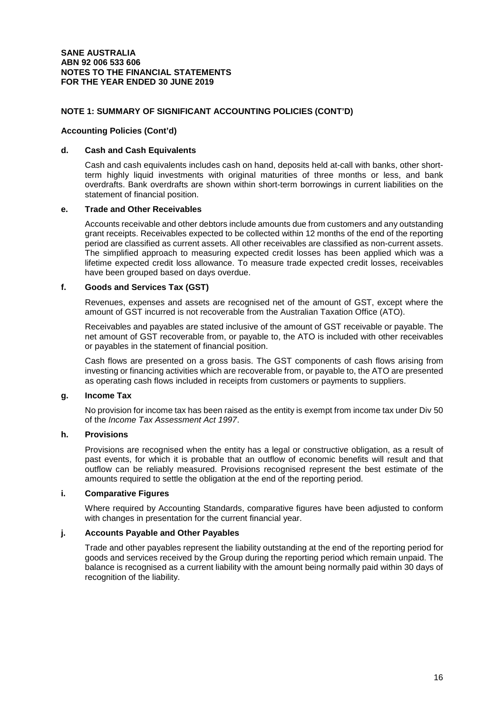### **Accounting Policies (Cont'd)**

#### **d. Cash and Cash Equivalents**

Cash and cash equivalents includes cash on hand, deposits held at-call with banks, other shortterm highly liquid investments with original maturities of three months or less, and bank overdrafts. Bank overdrafts are shown within short-term borrowings in current liabilities on the statement of financial position.

#### **e. Trade and Other Receivables**

Accounts receivable and other debtors include amounts due from customers and any outstanding grant receipts. Receivables expected to be collected within 12 months of the end of the reporting period are classified as current assets. All other receivables are classified as non-current assets. The simplified approach to measuring expected credit losses has been applied which was a lifetime expected credit loss allowance. To measure trade expected credit losses, receivables have been grouped based on days overdue.

### **f. Goods and Services Tax (GST)**

Revenues, expenses and assets are recognised net of the amount of GST, except where the amount of GST incurred is not recoverable from the Australian Taxation Office (ATO).

Receivables and payables are stated inclusive of the amount of GST receivable or payable. The net amount of GST recoverable from, or payable to, the ATO is included with other receivables or payables in the statement of financial position.

Cash flows are presented on a gross basis. The GST components of cash flows arising from investing or financing activities which are recoverable from, or payable to, the ATO are presented as operating cash flows included in receipts from customers or payments to suppliers.

# **g. Income Tax**

No provision for income tax has been raised as the entity is exempt from income tax under Div 50 of the Income Tax Assessment Act 1997.

## **h. Provisions**

Provisions are recognised when the entity has a legal or constructive obligation, as a result of past events, for which it is probable that an outflow of economic benefits will result and that outflow can be reliably measured. Provisions recognised represent the best estimate of the amounts required to settle the obligation at the end of the reporting period.

# **i. Comparative Figures**

Where required by Accounting Standards, comparative figures have been adjusted to conform with changes in presentation for the current financial year.

# **j. Accounts Payable and Other Payables**

Trade and other payables represent the liability outstanding at the end of the reporting period for goods and services received by the Group during the reporting period which remain unpaid. The balance is recognised as a current liability with the amount being normally paid within 30 days of recognition of the liability.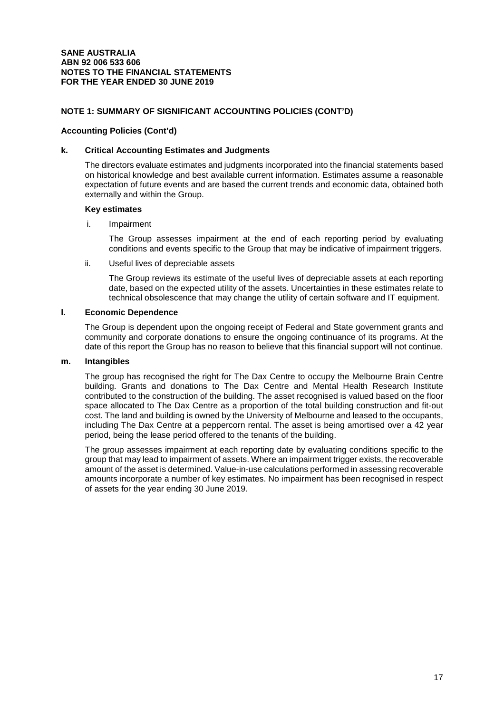#### **Accounting Policies (Cont'd)**

#### **k. Critical Accounting Estimates and Judgments**

The directors evaluate estimates and judgments incorporated into the financial statements based on historical knowledge and best available current information. Estimates assume a reasonable expectation of future events and are based the current trends and economic data, obtained both externally and within the Group.

#### **Key estimates**

i. Impairment

The Group assesses impairment at the end of each reporting period by evaluating conditions and events specific to the Group that may be indicative of impairment triggers.

ii. Useful lives of depreciable assets

The Group reviews its estimate of the useful lives of depreciable assets at each reporting date, based on the expected utility of the assets. Uncertainties in these estimates relate to technical obsolescence that may change the utility of certain software and IT equipment.

### **l. Economic Dependence**

The Group is dependent upon the ongoing receipt of Federal and State government grants and community and corporate donations to ensure the ongoing continuance of its programs. At the date of this report the Group has no reason to believe that this financial support will not continue.

### **m. Intangibles**

The group has recognised the right for The Dax Centre to occupy the Melbourne Brain Centre building. Grants and donations to The Dax Centre and Mental Health Research Institute contributed to the construction of the building. The asset recognised is valued based on the floor space allocated to The Dax Centre as a proportion of the total building construction and fit-out cost. The land and building is owned by the University of Melbourne and leased to the occupants, including The Dax Centre at a peppercorn rental. The asset is being amortised over a 42 year period, being the lease period offered to the tenants of the building.

The group assesses impairment at each reporting date by evaluating conditions specific to the group that may lead to impairment of assets. Where an impairment trigger exists, the recoverable amount of the asset is determined. Value-in-use calculations performed in assessing recoverable amounts incorporate a number of key estimates. No impairment has been recognised in respect of assets for the year ending 30 June 2019.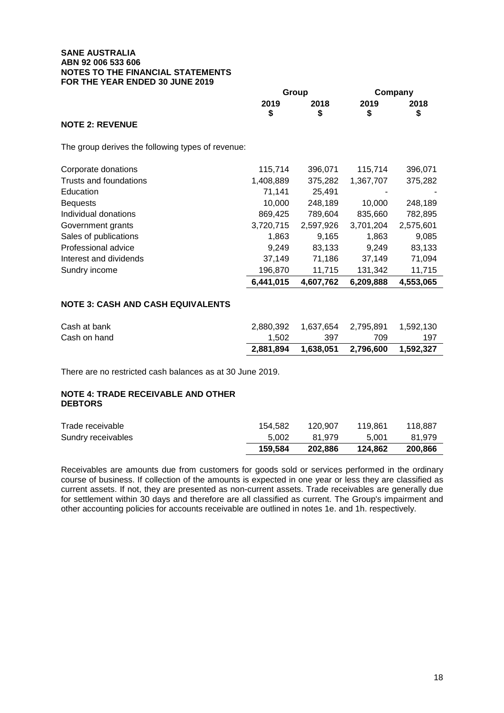|                                                   | 2019<br>\$ | 2018<br>\$ | 2019<br>\$ | 2018<br>\$ |
|---------------------------------------------------|------------|------------|------------|------------|
| <b>NOTE 2: REVENUE</b>                            |            |            |            |            |
| The group derives the following types of revenue: |            |            |            |            |
| Corporate donations                               | 115,714    | 396,071    | 115,714    | 396,071    |
| Trusts and foundations                            | 1,408,889  | 375,282    | 1,367,707  | 375,282    |
| Education                                         | 71,141     | 25,491     |            |            |
| <b>Bequests</b>                                   | 10,000     | 248,189    | 10,000     | 248,189    |
| Individual donations                              | 869,425    | 789,604    | 835,660    | 782,895    |
| Government grants                                 | 3,720,715  | 2,597,926  | 3,701,204  | 2,575,601  |
| Sales of publications                             | 1,863      | 9,165      | 1,863      | 9,085      |
| Professional advice                               | 9,249      | 83,133     | 9,249      | 83,133     |
| Interest and dividends                            | 37,149     | 71,186     | 37,149     | 71,094     |
| Sundry income                                     | 196,870    | 11,715     | 131,342    | 11,715     |
|                                                   | 6,441,015  | 4,607,762  | 6,209,888  | 4,553,065  |
| <b>NOTE 3: CASH AND CASH EQUIVALENTS</b>          |            |            |            |            |
| Cash at bank                                      | 2,880,392  | 1,637,654  | 2,795,891  | 1,592,130  |
| Cash on hand                                      | 1,502      | 397        | 709        | 197        |
|                                                   | 2,881,894  | 1,638,051  | 2,796,600  | 1,592,327  |
|                                                   |            |            |            |            |

**Group Company** 

There are no restricted cash balances as at 30 June 2019.

# **NOTE 4: TRADE RECEIVABLE AND OTHER DEBTORS**

| Trade receivable   | 154.582 | 120.907 | 119.861 | 118.887 |
|--------------------|---------|---------|---------|---------|
| Sundry receivables | 5.002   | 81.979  | 5.001   | 81.979  |
|                    | 159.584 | 202.886 | 124.862 | 200.866 |

Receivables are amounts due from customers for goods sold or services performed in the ordinary course of business. If collection of the amounts is expected in one year or less they are classified as current assets. If not, they are presented as non-current assets. Trade receivables are generally due for settlement within 30 days and therefore are all classified as current. The Group's impairment and other accounting policies for accounts receivable are outlined in notes 1e. and 1h. respectively.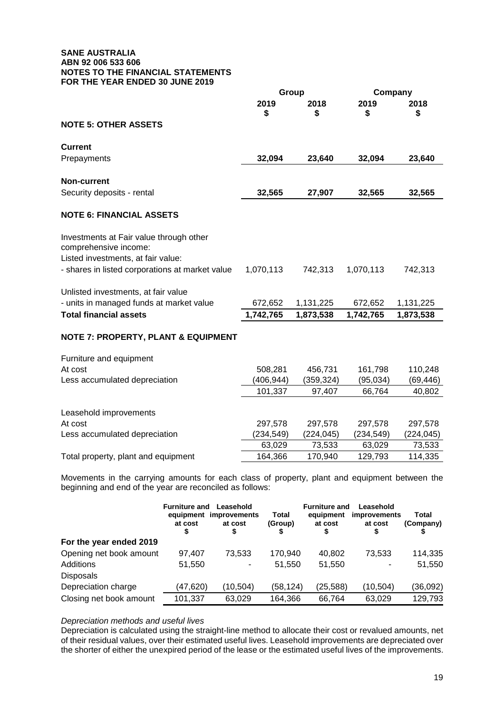|                                                                                                        | Group                 |                      | Company             |                     |
|--------------------------------------------------------------------------------------------------------|-----------------------|----------------------|---------------------|---------------------|
|                                                                                                        | 2019<br>\$            | 2018<br>\$           | 2019<br>\$          | 2018<br>\$          |
| <b>NOTE 5: OTHER ASSETS</b>                                                                            |                       |                      |                     |                     |
| <b>Current</b>                                                                                         |                       |                      |                     |                     |
| Prepayments                                                                                            | 32,094                | 23,640               | 32,094              | 23,640              |
| <b>Non-current</b>                                                                                     |                       |                      |                     |                     |
| Security deposits - rental                                                                             | 32,565                | 27,907               | 32,565              | 32,565              |
| <b>NOTE 6: FINANCIAL ASSETS</b>                                                                        |                       |                      |                     |                     |
| Investments at Fair value through other<br>comprehensive income:<br>Listed investments, at fair value: |                       |                      |                     |                     |
| - shares in listed corporations at market value                                                        | 1,070,113             | 742,313              | 1,070,113           | 742,313             |
| Unlisted investments, at fair value                                                                    |                       |                      |                     |                     |
| - units in managed funds at market value                                                               | 672,652               | 1,131,225            | 672,652             | 1,131,225           |
| <b>Total financial assets</b>                                                                          | 1,742,765             | 1,873,538            | 1,742,765           | 1,873,538           |
| <b>NOTE 7: PROPERTY, PLANT &amp; EQUIPMENT</b>                                                         |                       |                      |                     |                     |
| Furniture and equipment                                                                                |                       |                      |                     |                     |
| At cost                                                                                                | 508,281               | 456,731              | 161,798             | 110,248             |
| Less accumulated depreciation                                                                          | (406, 944)<br>101,337 | (359, 324)<br>97,407 | (95, 034)<br>66,764 | (69, 446)<br>40,802 |
|                                                                                                        |                       |                      |                     |                     |
| Leasehold improvements                                                                                 |                       |                      |                     |                     |
| At cost                                                                                                | 297,578               | 297,578              | 297,578             | 297,578             |
| Less accumulated depreciation                                                                          | (234, 549)            | (224, 045)           | (234, 549)          | (224, 045)          |
|                                                                                                        | 63,029                | 73,533               | 63,029              | 73,533              |

Total property, plant and equipment 164,366 170,940 129,793 114,335

Movements in the carrying amounts for each class of property, plant and equipment between the beginning and end of the year are reconciled as follows:

|                         | <b>Furniture and</b><br>at cost<br>S | Leasehold<br>equipment improvements<br>at cost | Total<br>(Group) | <b>Furniture and</b><br>equipment<br>at cost<br>\$ | Leasehold<br><i>improvements</i><br>at cost | Total<br>(Company) |
|-------------------------|--------------------------------------|------------------------------------------------|------------------|----------------------------------------------------|---------------------------------------------|--------------------|
| For the year ended 2019 |                                      |                                                |                  |                                                    |                                             |                    |
| Opening net book amount | 97,407                               | 73.533                                         | 170,940          | 40.802                                             | 73.533                                      | 114,335            |
| Additions               | 51,550                               |                                                | 51,550           | 51,550                                             | ۰                                           | 51,550             |
| <b>Disposals</b>        |                                      |                                                |                  |                                                    |                                             |                    |
| Depreciation charge     | (47, 620)                            | (10, 504)                                      | (58,124)         | (25, 588)                                          | (10, 504)                                   | (36,092)           |
| Closing net book amount | 101,337                              | 63,029                                         | 164,366          | 66,764                                             | 63,029                                      | 129,793            |

### Depreciation methods and useful lives

Depreciation is calculated using the straight-line method to allocate their cost or revalued amounts, net of their residual values, over their estimated useful lives. Leasehold improvements are depreciated over the shorter of either the unexpired period of the lease or the estimated useful lives of the improvements.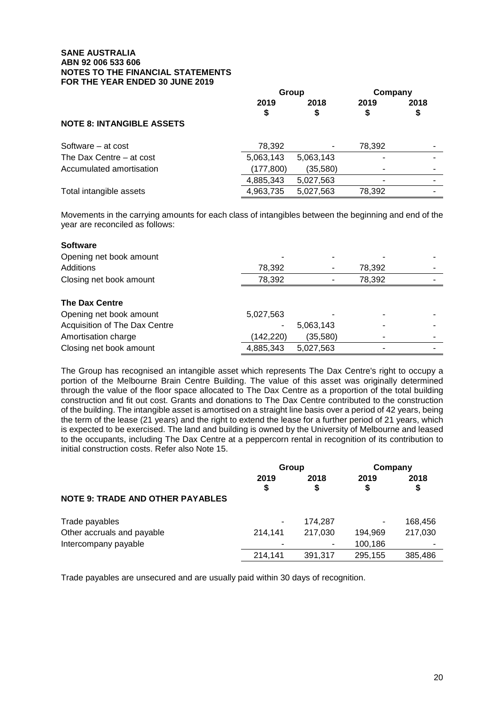|                                  | Group      |            | Company   |            |
|----------------------------------|------------|------------|-----------|------------|
|                                  | 2019<br>\$ | 2018<br>\$ | 2019<br>S | 2018<br>\$ |
| <b>NOTE 8: INTANGIBLE ASSETS</b> |            |            |           |            |
| Software – at cost               | 78,392     |            | 78,392    |            |
| The Dax Centre – at cost         | 5,063,143  | 5,063,143  |           |            |
| Accumulated amortisation         | (177, 800) | (35,580)   |           |            |
|                                  | 4,885,343  | 5,027,563  |           |            |
| Total intangible assets          | 4,963,735  | 5,027,563  | 78,392    |            |

Movements in the carrying amounts for each class of intangibles between the beginning and end of the year are reconciled as follows:

| <b>Software</b>               |           |           |        |  |
|-------------------------------|-----------|-----------|--------|--|
| Opening net book amount       |           |           |        |  |
| Additions                     | 78,392    |           | 78,392 |  |
| Closing net book amount       | 78,392    |           | 78,392 |  |
| <b>The Dax Centre</b>         |           |           |        |  |
| Opening net book amount       | 5,027,563 |           |        |  |
| Acquisition of The Dax Centre |           | 5,063,143 |        |  |
| Amortisation charge           | (142,220) | (35,580)  |        |  |
| Closing net book amount       | 4,885,343 | 5,027,563 |        |  |

The Group has recognised an intangible asset which represents The Dax Centre's right to occupy a portion of the Melbourne Brain Centre Building. The value of this asset was originally determined through the value of the floor space allocated to The Dax Centre as a proportion of the total building construction and fit out cost. Grants and donations to The Dax Centre contributed to the construction of the building. The intangible asset is amortised on a straight line basis over a period of 42 years, being the term of the lease (21 years) and the right to extend the lease for a further period of 21 years, which is expected to be exercised. The land and building is owned by the University of Melbourne and leased to the occupants, including The Dax Centre at a peppercorn rental in recognition of its contribution to initial construction costs. Refer also Note 15.

|                                         | Group      |            | Company    |            |
|-----------------------------------------|------------|------------|------------|------------|
|                                         | 2019<br>\$ | 2018<br>\$ | 2019<br>\$ | 2018<br>\$ |
| <b>NOTE 9: TRADE AND OTHER PAYABLES</b> |            |            |            |            |
| Trade payables                          | ۰          | 174,287    | ۰          | 168,456    |
| Other accruals and payable              | 214.141    | 217,030    | 194,969    | 217,030    |
| Intercompany payable                    |            | ۰          | 100,186    |            |
|                                         | 214,141    | 391.317    | 295,155    | 385,486    |

Trade payables are unsecured and are usually paid within 30 days of recognition.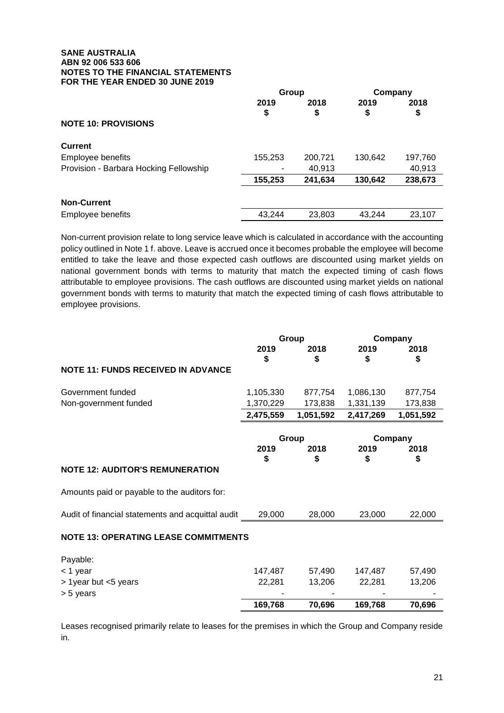|                                        | Group   |         | Company |         |
|----------------------------------------|---------|---------|---------|---------|
|                                        | 2019    | 2018    | 2019    | 2018    |
|                                        | \$      | \$      | \$      | \$      |
| <b>NOTE 10: PROVISIONS</b>             |         |         |         |         |
| <b>Current</b>                         |         |         |         |         |
| Employee benefits                      | 155,253 | 200,721 | 130,642 | 197,760 |
| Provision - Barbara Hocking Fellowship |         | 40,913  |         | 40,913  |
|                                        | 155,253 | 241,634 | 130,642 | 238,673 |
| <b>Non-Current</b>                     |         |         |         |         |
| Employee benefits                      | 43,244  | 23,803  | 43.244  | 23,107  |

Non-current provision relate to long service leave which is calculated in accordance with the accounting policy outlined in Note 1 f. above. Leave is accrued once it becomes probable the employee will become entitled to take the leave and those expected cash outflows are discounted using market yields on national government bonds with terms to maturity that match the expected timing of cash flows attributable to employee provisions. The cash outflows are discounted using market yields on national government bonds with terms to maturity that match the expected timing of cash flows attributable to employee provisions.

|                                                   | Group      |            | Company    |            |
|---------------------------------------------------|------------|------------|------------|------------|
|                                                   | 2019<br>\$ | 2018<br>S  | 2019<br>\$ | 2018<br>S  |
| <b>NOTE 11: FUNDS RECEIVED IN ADVANCE</b>         |            |            |            |            |
| Government funded                                 | 1,105,330  | 877,754    | 1,086,130  | 877,754    |
| Non-government funded                             | 1,370,229  | 173,838    | 1,331,139  | 173,838    |
|                                                   | 2,475,559  | 1,051,592  | 2,417,269  | 1,051,592  |
|                                                   |            | Group      |            | Company    |
|                                                   | 2019<br>\$ | 2018<br>\$ | 2019<br>\$ | 2018<br>\$ |
| <b>NOTE 12: AUDITOR'S REMUNERATION</b>            |            |            |            |            |
| Amounts paid or payable to the auditors for:      |            |            |            |            |
| Audit of financial statements and acquittal audit | 29,000     | 28,000     | 23,000     | 22,000     |
| <b>NOTE 13: OPERATING LEASE COMMITMENTS</b>       |            |            |            |            |
| Payable:                                          |            |            |            |            |
| < 1 year                                          | 147,487    | 57,490     | 147,487    | 57,490     |
| > 1 year but <5 years                             | 22,281     | 13,206     | 22,281     | 13,206     |
| > 5 years                                         |            |            |            |            |
|                                                   | 169,768    | 70,696     | 169,768    | 70,696     |

Leases recognised primarily relate to leases for the premises in which the Group and Company reside in.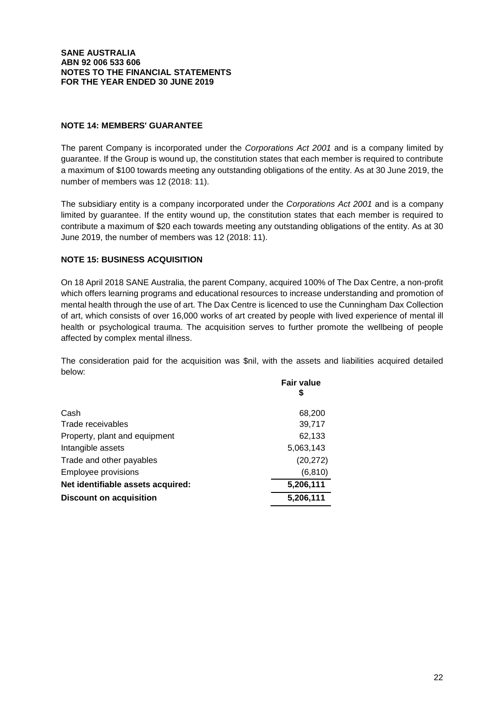# **NOTE 14: MEMBERS' GUARANTEE**

The parent Company is incorporated under the Corporations Act 2001 and is a company limited by guarantee. If the Group is wound up, the constitution states that each member is required to contribute a maximum of \$100 towards meeting any outstanding obligations of the entity. As at 30 June 2019, the number of members was 12 (2018: 11).

The subsidiary entity is a company incorporated under the Corporations Act 2001 and is a company limited by guarantee. If the entity wound up, the constitution states that each member is required to contribute a maximum of \$20 each towards meeting any outstanding obligations of the entity. As at 30 June 2019, the number of members was 12 (2018: 11).

# **NOTE 15: BUSINESS ACQUISITION**

On 18 April 2018 SANE Australia, the parent Company, acquired 100% of The Dax Centre, a non-profit which offers learning programs and educational resources to increase understanding and promotion of mental health through the use of art. The Dax Centre is licenced to use the Cunningham Dax Collection of art, which consists of over 16,000 works of art created by people with lived experience of mental ill health or psychological trauma. The acquisition serves to further promote the wellbeing of people affected by complex mental illness.

The consideration paid for the acquisition was \$nil, with the assets and liabilities acquired detailed below:

|                                   | <b>Fair value</b><br>\$ |
|-----------------------------------|-------------------------|
| Cash                              | 68,200                  |
| Trade receivables                 | 39,717                  |
| Property, plant and equipment     | 62,133                  |
| Intangible assets                 | 5,063,143               |
| Trade and other payables          | (20, 272)               |
| <b>Employee provisions</b>        | (6, 810)                |
| Net identifiable assets acquired: | 5,206,111               |
| <b>Discount on acquisition</b>    | 5,206,111               |
|                                   |                         |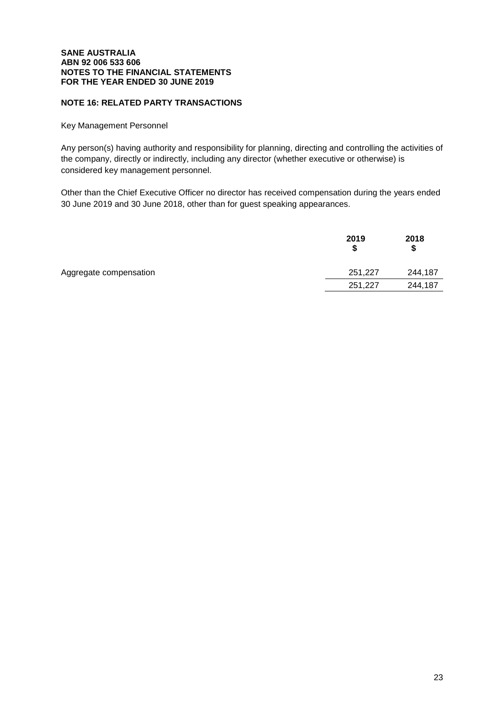# **NOTE 16: RELATED PARTY TRANSACTIONS**

Key Management Personnel

Any person(s) having authority and responsibility for planning, directing and controlling the activities of the company, directly or indirectly, including any director (whether executive or otherwise) is considered key management personnel.

Other than the Chief Executive Officer no director has received compensation during the years ended 30 June 2019 and 30 June 2018, other than for guest speaking appearances.

|                        | 2019<br>S | 2018<br>S |
|------------------------|-----------|-----------|
| Aggregate compensation | 251,227   | 244,187   |
|                        | 251,227   | 244,187   |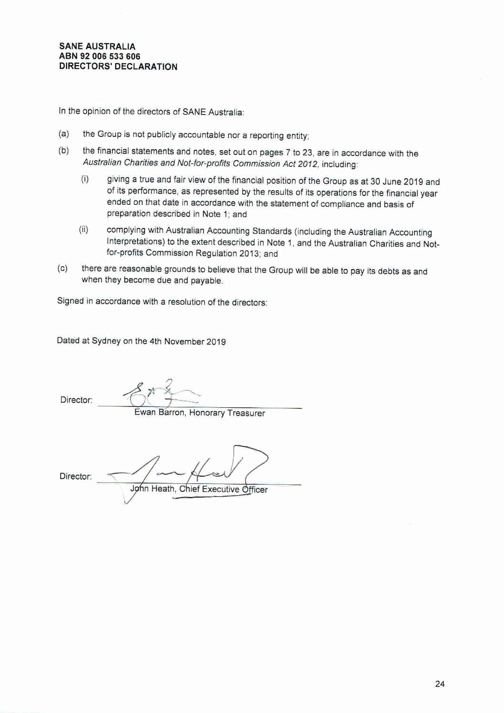In the opinion of the directors of SANE Australia:

- $(a)$ the Group is not publicly accountable nor a reporting entity;
- the financial statements and notes, set out on pages 7 to 23, are in accordance with the  $(b)$ Australian Charities and Not-for-profits Commission Act 2012, including:
	- $(i)$ giving a true and fair view of the financial position of the Group as at 30 June 2019 and of its performance, as represented by the results of its operations for the financial year ended on that date in accordance with the statement of compliance and basis of preparation described in Note 1; and
	- $(ii)$ complying with Australian Accounting Standards (including the Australian Accounting Interpretations) to the extent described in Note 1, and the Australian Charities and Notfor-profits Commission Regulation 2013; and
- there are reasonable grounds to believe that the Group will be able to pay its debts as and  $(c)$ when they become due and payable.

Signed in accordance with a resolution of the directors:

Dated at Sydney on the 4th November 2019

Director:

Ewan Barron, Honorary Treasurer

Director:

John Heath, Chief Executive Officer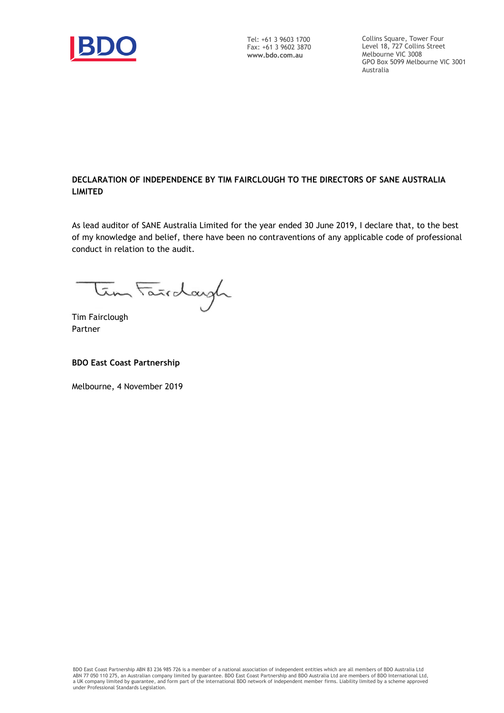

Tel: +61 3 9603 1700 Fax: +61 3 9602 3870 **www.bdo.com.au**

Collins Square, Tower Four Level 18, 727 Collins Street Melbourne VIC 3008 GPO Box 5099 Melbourne VIC 3001 Australia

# **DECLARATION OF INDEPENDENCE BY TIM FAIRCLOUGH TO THE DIRECTORS OF SANE AUSTRALIA LIMITED**

As lead auditor of SANE Australia Limited for the year ended 30 June 2019, I declare that, to the best of my knowledge and belief, there have been no contraventions of any applicable code of professional conduct in relation to the audit.

tem Farrdargh

Tim Fairclough Partner

# **BDO East Coast Partnership**

Melbourne, 4 November 2019

BDO East Coast Partnership ABN 83 236 985 726 is a member of a national association of independent entities which are all members of BDO Australia Ltd<br>ABN 77 050 110 275, an Australian company limited by guarantee. BDO Eas under Professional Standards Legislation.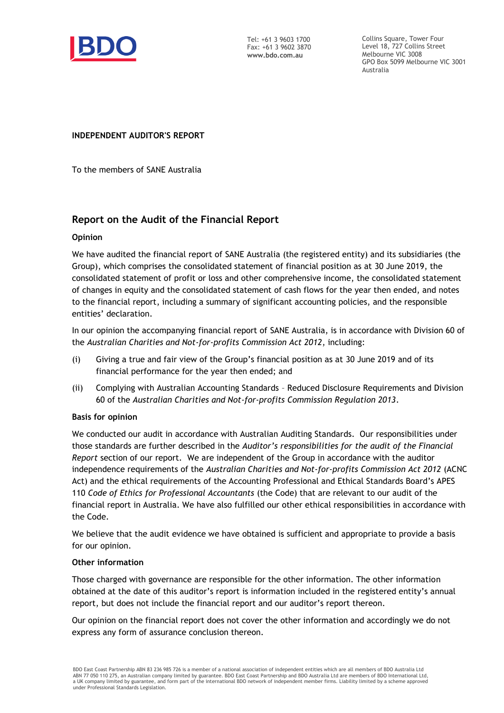

Tel: +61 3 9603 1700 Fax: +61 3 9602 3870 **www.bdo.com.au**

Collins Square, Tower Four Level 18, 727 Collins Street Melbourne VIC 3008 GPO Box 5099 Melbourne VIC 3001 Australia

# **INDEPENDENT AUDITOR'S REPORT**

To the members of SANE Australia

# **Report on the Audit of the Financial Report**

# **Opinion**

We have audited the financial report of SANE Australia (the registered entity) and its subsidiaries (the Group), which comprises the consolidated statement of financial position as at 30 June 2019, the consolidated statement of profit or loss and other comprehensive income, the consolidated statement of changes in equity and the consolidated statement of cash flows for the year then ended, and notes to the financial report, including a summary of significant accounting policies, and the responsible entities' declaration.

In our opinion the accompanying financial report of SANE Australia, is in accordance with Division 60 of the *Australian Charities and Not-for-profits Commission Act 2012*, including:

- (i) Giving a true and fair view of the Group's financial position as at 30 June 2019 and of its financial performance for the year then ended; and
- (ii) Complying with Australian Accounting Standards Reduced Disclosure Requirements and Division 60 of the *Australian Charities and Not-for-profits Commission Regulation 2013*.

# **Basis for opinion**

We conducted our audit in accordance with Australian Auditing Standards. Our responsibilities under those standards are further described in the *Auditor's responsibilities for the audit of the Financial Report* section of our report. We are independent of the Group in accordance with the auditor independence requirements of the *Australian Charities and Not-for-profits Commission Act 2012* (ACNC Act) and the ethical requirements of the Accounting Professional and Ethical Standards Board's APES 110 *Code of Ethics for Professional Accountants* (the Code) that are relevant to our audit of the financial report in Australia. We have also fulfilled our other ethical responsibilities in accordance with the Code.

We believe that the audit evidence we have obtained is sufficient and appropriate to provide a basis for our opinion.

# **Other information**

Those charged with governance are responsible for the other information. The other information obtained at the date of this auditor's report is information included in the registered entity's annual report, but does not include the financial report and our auditor's report thereon.

Our opinion on the financial report does not cover the other information and accordingly we do not express any form of assurance conclusion thereon.